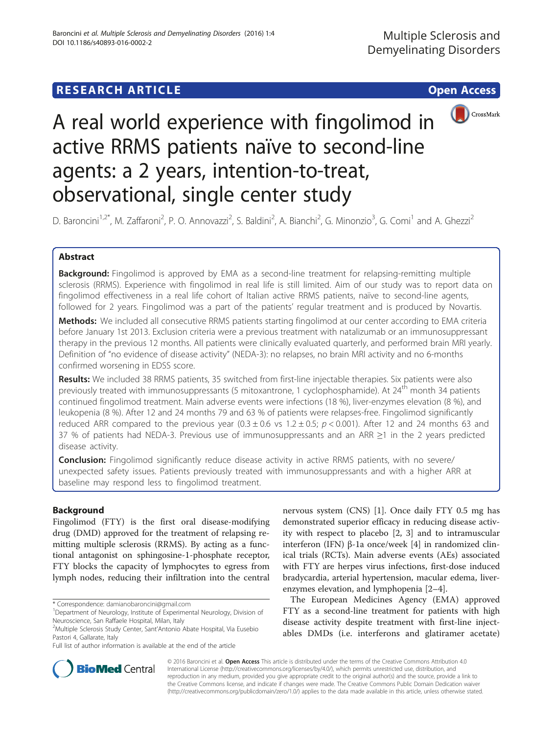## **RESEARCH ARTICLE Example 2018 12:30 THE Open Access**



# A real world experience with fingolimod in active RRMS patients naïve to second-line agents: a 2 years, intention-to-treat, observational, single center study

D. Baroncini<sup>1,2\*</sup>, M. Zaffaroni<sup>2</sup>, P. O. Annovazzi<sup>2</sup>, S. Baldini<sup>2</sup>, A. Bianchi<sup>2</sup>, G. Minonzio<sup>3</sup>, G. Comi<sup>1</sup> and A. Ghezzi<sup>2</sup>

## Abstract

**Background:** Fingolimod is approved by EMA as a second-line treatment for relapsing-remitting multiple sclerosis (RRMS). Experience with fingolimod in real life is still limited. Aim of our study was to report data on fingolimod effectiveness in a real life cohort of Italian active RRMS patients, naïve to second-line agents, followed for 2 years. Fingolimod was a part of the patients' regular treatment and is produced by Novartis.

Methods: We included all consecutive RRMS patients starting fingolimod at our center according to EMA criteria before January 1st 2013. Exclusion criteria were a previous treatment with natalizumab or an immunosuppressant therapy in the previous 12 months. All patients were clinically evaluated quarterly, and performed brain MRI yearly. Definition of "no evidence of disease activity" (NEDA-3): no relapses, no brain MRI activity and no 6-months confirmed worsening in EDSS score.

Results: We included 38 RRMS patients, 35 switched from first-line injectable therapies. Six patients were also previously treated with immunosuppressants (5 mitoxantrone, 1 cyclophosphamide). At 24<sup>th</sup> month 34 patients continued fingolimod treatment. Main adverse events were infections (18 %), liver-enzymes elevation (8 %), and leukopenia (8 %). After 12 and 24 months 79 and 63 % of patients were relapses-free. Fingolimod significantly reduced ARR compared to the previous year  $(0.3 \pm 0.6 \text{ vs } 1.2 \pm 0.5; p < 0.001)$ . After 12 and 24 months 63 and 37 % of patients had NEDA-3. Previous use of immunosuppressants and an ARR ≥1 in the 2 years predicted disease activity.

**Conclusion:** Fingolimod significantly reduce disease activity in active RRMS patients, with no severe/ unexpected safety issues. Patients previously treated with immunosuppressants and with a higher ARR at baseline may respond less to fingolimod treatment.

### Background

Fingolimod (FTY) is the first oral disease-modifying drug (DMD) approved for the treatment of relapsing remitting multiple sclerosis (RRMS). By acting as a functional antagonist on sphingosine-1-phosphate receptor, FTY blocks the capacity of lymphocytes to egress from lymph nodes, reducing their infiltration into the central

\* Correspondence: [damianobaroncini@gmail.com](mailto:damianobaroncini@gmail.com) <sup>1</sup>

nervous system (CNS) [\[1\]](#page-4-0). Once daily FTY 0.5 mg has demonstrated superior efficacy in reducing disease activity with respect to placebo [\[2, 3](#page-4-0)] and to intramuscular interferon (IFN) β-1a once/week [[4](#page-4-0)] in randomized clinical trials (RCTs). Main adverse events (AEs) associated with FTY are herpes virus infections, first-dose induced bradycardia, arterial hypertension, macular edema, liverenzymes elevation, and lymphopenia [\[2](#page-4-0)–[4\]](#page-4-0).

The European Medicines Agency (EMA) approved FTY as a second-line treatment for patients with high disease activity despite treatment with first-line injectables DMDs (i.e. interferons and glatiramer acetate)



© 2016 Baroncini et al. **Open Access** This article is distributed under the terms of the Creative Commons Attribution 4.0 International License [\(http://creativecommons.org/licenses/by/4.0/](http://www.ema.europa.eu/ema/index.jsp?curl=pages/medicines/human/medicines/002202/human_med_001433.jsp&mid=WC0b01ac058001d124)), which permits unrestricted use, distribution, and reproduction in any medium, provided you give appropriate credit to the original author(s) and the source, provide a link to the Creative Commons license, and indicate if changes were made. The Creative Commons Public Domain Dedication waiver [\(http://creativecommons.org/publicdomain/zero/1.0/](http://dx.doi.org/10.1136/jnnp-2015-310597)) applies to the data made available in this article, unless otherwise stated.

<sup>&</sup>lt;sup>1</sup>Department of Neurology, Institute of Experimental Neurology, Division of Neuroscience, San Raffaele Hospital, Milan, Italy

<sup>&</sup>lt;sup>2</sup>Multiple Sclerosis Study Center, Sant'Antonio Abate Hospital, Via Eusebio Pastori 4, Gallarate, Italy

Full list of author information is available at the end of the article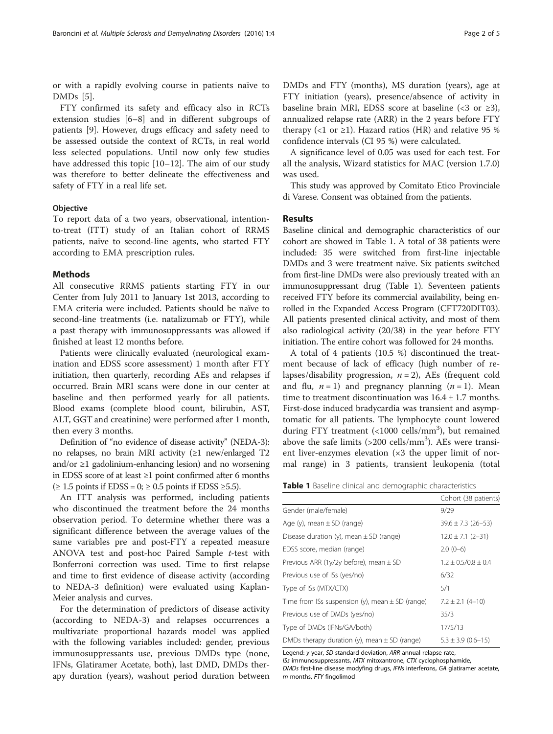<span id="page-1-0"></span>or with a rapidly evolving course in patients naïve to DMDs [\[5](#page-4-0)].

FTY confirmed its safety and efficacy also in RCTs extension studies [[6](#page-4-0)–[8](#page-4-0)] and in different subgroups of patients [\[9\]](#page-4-0). However, drugs efficacy and safety need to be assessed outside the context of RCTs, in real world less selected populations. Until now only few studies have addressed this topic [\[10](#page-4-0)–[12\]](#page-4-0). The aim of our study was therefore to better delineate the effectiveness and safety of FTY in a real life set.

#### **Objective**

To report data of a two years, observational, intentionto-treat (ITT) study of an Italian cohort of RRMS patients, naïve to second-line agents, who started FTY according to EMA prescription rules.

#### Methods

All consecutive RRMS patients starting FTY in our Center from July 2011 to January 1st 2013, according to EMA criteria were included. Patients should be naïve to second-line treatments (i.e. natalizumab or FTY), while a past therapy with immunosuppressants was allowed if finished at least 12 months before.

Patients were clinically evaluated (neurological examination and EDSS score assessment) 1 month after FTY initiation, then quarterly, recording AEs and relapses if occurred. Brain MRI scans were done in our center at baseline and then performed yearly for all patients. Blood exams (complete blood count, bilirubin, AST, ALT, GGT and creatinine) were performed after 1 month, then every 3 months.

Definition of "no evidence of disease activity" (NEDA-3): no relapses, no brain MRI activity (≥1 new/enlarged T2 and/or ≥1 gadolinium-enhancing lesion) and no worsening in EDSS score of at least ≥1 point confirmed after 6 months (≥ 1.5 points if EDSS = 0; ≥ 0.5 points if EDSS ≥5.5).

An ITT analysis was performed, including patients who discontinued the treatment before the 24 months observation period. To determine whether there was a significant difference between the average values of the same variables pre and post-FTY a repeated measure ANOVA test and post-hoc Paired Sample t-test with Bonferroni correction was used. Time to first relapse and time to first evidence of disease activity (according to NEDA-3 definition) were evaluated using Kaplan-Meier analysis and curves.

For the determination of predictors of disease activity (according to NEDA-3) and relapses occurrences a multivariate proportional hazards model was applied with the following variables included: gender, previous immunosuppressants use, previous DMDs type (none, IFNs, Glatiramer Acetate, both), last DMD, DMDs therapy duration (years), washout period duration between DMDs and FTY (months), MS duration (years), age at FTY initiation (years), presence/absence of activity in baseline brain MRI, EDSS score at baseline (<3 or  $\geq 3$ ), annualized relapse rate (ARR) in the 2 years before FTY therapy (<1 or  $\geq$ 1). Hazard ratios (HR) and relative 95 % confidence intervals (CI 95 %) were calculated.

A significance level of 0.05 was used for each test. For all the analysis, Wizard statistics for MAC (version 1.7.0) was used.

This study was approved by Comitato Etico Provinciale di Varese. Consent was obtained from the patients.

#### Results

Baseline clinical and demographic characteristics of our cohort are showed in Table 1. A total of 38 patients were included: 35 were switched from first-line injectable DMDs and 3 were treatment naïve. Six patients switched from first-line DMDs were also previously treated with an immunosuppressant drug (Table 1). Seventeen patients received FTY before its commercial availability, being enrolled in the Expanded Access Program (CFT720DIT03). All patients presented clinical activity, and most of them also radiological activity (20/38) in the year before FTY initiation. The entire cohort was followed for 24 months.

A total of 4 patients (10.5 %) discontinued the treatment because of lack of efficacy (high number of relapses/disability progression,  $n = 2$ ), AEs (frequent cold and flu,  $n = 1$ ) and pregnancy planning  $(n = 1)$ . Mean time to treatment discontinuation was  $16.4 \pm 1.7$  months. First-dose induced bradycardia was transient and asymptomatic for all patients. The lymphocyte count lowered during FTY treatment (<1000 cells/mm<sup>3</sup>), but remained above the safe limits  $(>200 \text{ cells/mm}^3)$ . AEs were transient liver-enzymes elevation (×3 the upper limit of normal range) in 3 patients, transient leukopenia (total

Table 1 Baseline clinical and demographic characteristics

|                                                     | Cohort (38 patients)   |
|-----------------------------------------------------|------------------------|
| Gender (male/female)                                | 9/29                   |
| Age (y), mean $\pm$ SD (range)                      | $39.6 \pm 7.3$ (26-53) |
| Disease duration (y), mean $\pm$ SD (range)         | $12.0 \pm 7.1$ (2-31)  |
| EDSS score, median (range)                          | $2.0(0-6)$             |
| Previous ARR (1y/2y before), mean $\pm$ SD          | $1.2 + 0.5/0.8 + 0.4$  |
| Previous use of ISs (yes/no)                        | 6/32                   |
| Type of ISs (MTX/CTX)                               | 5/1                    |
| Time from ISs suspension (y), mean $\pm$ SD (range) | $7.2 \pm 2.1$ (4-10)   |
| Previous use of DMDs (yes/no)                       | 35/3                   |
| Type of DMDs (IFNs/GA/both)                         | 17/5/13                |
| DMDs therapy duration (y), mean $\pm$ SD (range)    | $5.3 \pm 3.9$ (0.6-15) |

Legend: y year, SD standard deviation, ARR annual relapse rate,

ISs immunosuppressants, MTX mitoxantrone, CTX cyclophosphamide, DMDs first-line disease modyfing drugs, IFNs interferons, GA glatiramer acetate, m months, FTY fingolimod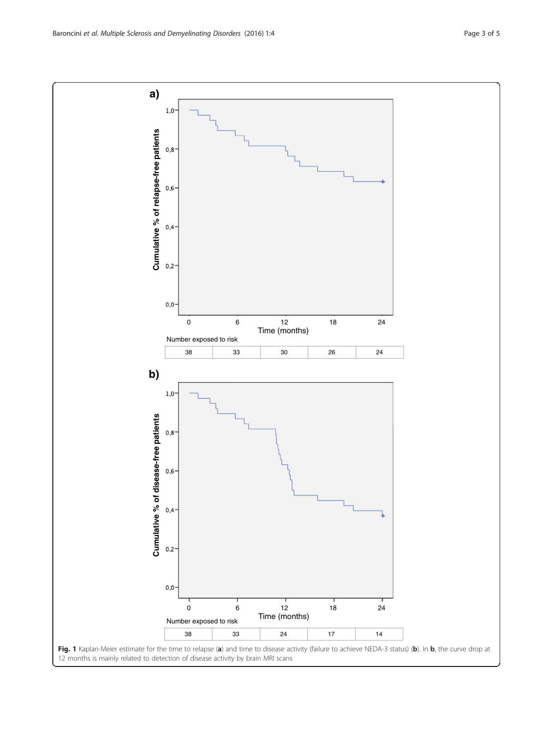<span id="page-2-0"></span>**a)**  $1,0$ Cumulative % of relapse-free patients **Cumulative % of relapse-free patients**  $0,8$  $0,6$  $0,4 0,2$  $0,0$ 0 6 12 18 24 Time (months) Number exposed to risk 38 33 30 26 24 **b)**  $1,0$ Cumulative % of disease-free patients **Cumulative % of disease-free patients**  $0,8$  $0,6 0,4$  $0,2 0,0$ 0 6 12 18 24 Time (months) Number exposed to risk 38 33 24 17 14 Fig. 1 Kaplan-Meier estimate for the time to relapse (a) and time to disease activity (failure to achieve NEDA-3 status) (b). In b, the curve drop at 12 months is mainly related to detection of disease activity by brain MRI scans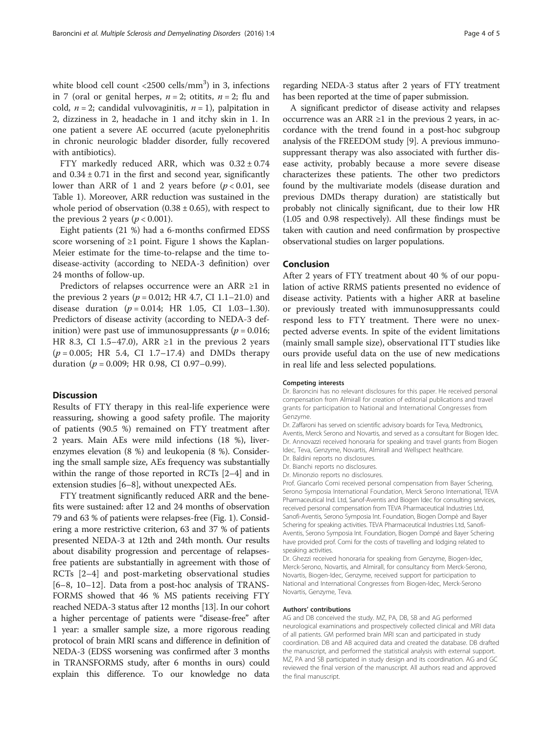white blood cell count <2500 cells/mm<sup>3</sup>) in 3, infections in 7 (oral or genital herpes,  $n = 2$ ; otitits,  $n = 2$ ; flu and cold,  $n = 2$ ; candidal vulvovaginitis,  $n = 1$ ), palpitation in 2, dizziness in 2, headache in 1 and itchy skin in 1. In one patient a severe AE occurred (acute pyelonephritis in chronic neurologic bladder disorder, fully recovered

FTY markedly reduced ARR, which was  $0.32 \pm 0.74$ and  $0.34 \pm 0.71$  in the first and second year, significantly lower than ARR of 1 and 2 years before  $(p < 0.01$ , see Table [1](#page-1-0)). Moreover, ARR reduction was sustained in the whole period of observation  $(0.38 \pm 0.65)$ , with respect to the previous 2 years ( $p < 0.001$ ).

Eight patients (21 %) had a 6-months confirmed EDSS score worsening of  $\geq 1$  $\geq 1$  point. Figure 1 shows the Kaplan-Meier estimate for the time-to-relapse and the time todisease-activity (according to NEDA-3 definition) over 24 months of follow-up.

Predictors of relapses occurrence were an ARR ≥1 in the previous 2 years ( $p = 0.012$ ; HR 4.7, CI 1.1–21.0) and disease duration  $(p = 0.014; HR 1.05, CI 1.03-1.30)$ . Predictors of disease activity (according to NEDA-3 definition) were past use of immunosuppressants ( $p = 0.016$ ; HR 8.3, CI 1.5–47.0), ARR  $\geq 1$  in the previous 2 years  $(p = 0.005;$  HR 5.4, CI 1.7–17.4) and DMDs therapy duration ( $p = 0.009$ ; HR 0.98, CI 0.97-0.99).

#### **Discussion**

with antibiotics).

Results of FTY therapy in this real-life experience were reassuring, showing a good safety profile. The majority of patients (90.5 %) remained on FTY treatment after 2 years. Main AEs were mild infections (18 %), liverenzymes elevation (8 %) and leukopenia (8 %). Considering the small sample size, AEs frequency was substantially within the range of those reported in RCTs [\[2](#page-4-0)–[4\]](#page-4-0) and in extension studies [[6](#page-4-0)–[8](#page-4-0)], without unexpected AEs.

FTY treatment significantly reduced ARR and the benefits were sustained: after 12 and 24 months of observation 79 and 63 % of patients were relapses-free (Fig. [1](#page-2-0)). Considering a more restrictive criterion, 63 and 37 % of patients presented NEDA-3 at 12th and 24th month. Our results about disability progression and percentage of relapsesfree patients are substantially in agreement with those of RCTs [[2](#page-4-0)–[4\]](#page-4-0) and post-marketing observational studies [[6](#page-4-0)–[8, 10](#page-4-0)–[12](#page-4-0)]. Data from a post-hoc analysis of TRANS-FORMS showed that 46 % MS patients receiving FTY reached NEDA-3 status after 12 months [\[13\]](#page-4-0). In our cohort a higher percentage of patients were "disease-free" after 1 year: a smaller sample size, a more rigorous reading protocol of brain MRI scans and difference in definition of NEDA-3 (EDSS worsening was confirmed after 3 months in TRANSFORMS study, after 6 months in ours) could explain this difference. To our knowledge no data

regarding NEDA-3 status after 2 years of FTY treatment has been reported at the time of paper submission.

A significant predictor of disease activity and relapses occurrence was an ARR  $\geq 1$  in the previous 2 years, in accordance with the trend found in a post-hoc subgroup analysis of the FREEDOM study [[9\]](#page-4-0). A previous immunosuppressant therapy was also associated with further disease activity, probably because a more severe disease characterizes these patients. The other two predictors found by the multivariate models (disease duration and previous DMDs therapy duration) are statistically but probably not clinically significant, due to their low HR (1.05 and 0.98 respectively). All these findings must be taken with caution and need confirmation by prospective observational studies on larger populations.

#### Conclusion

After 2 years of FTY treatment about 40 % of our population of active RRMS patients presented no evidence of disease activity. Patients with a higher ARR at baseline or previously treated with immunosuppressants could respond less to FTY treatment. There were no unexpected adverse events. In spite of the evident limitations (mainly small sample size), observational ITT studies like ours provide useful data on the use of new medications in real life and less selected populations.

#### Competing interests

Dr. Baroncini has no relevant disclosures for this paper. He received personal compensation from Almirall for creation of editorial publications and travel grants for participation to National and International Congresses from Genzyme.

Dr. Zaffaroni has served on scientific advisory boards for Teva, Medtronics, Aventis, Merck Serono and Novartis, and served as a consultant for Biogen Idec. Dr. Annovazzi received honoraria for speaking and travel grants from Biogen Idec, Teva, Genzyme, Novartis, Almirall and Wellspect healthcare.

- Dr. Baldini reports no disclosures.
- Dr. Bianchi reports no disclosures.

Dr. Minonzio reports no disclosures.

Prof. Giancarlo Comi received personal compensation from Bayer Schering, Serono Symposia International Foundation, Merck Serono International, TEVA Pharmaceutical Ind. Ltd, Sanof-Aventis and Biogen Idec for consulting services, received personal compensation from TEVA Pharmaceutical Industries Ltd, Sanofi-Aventis, Serono Symposia Int. Foundation, Biogen Dompè and Bayer Schering for speaking activities. TEVA Pharmaceutical Industries Ltd, Sanofi-Aventis, Serono Symposia Int. Foundation, Biogen Dompé and Bayer Schering have provided prof. Comi for the costs of travelling and lodging related to speaking activities.

Dr. Ghezzi received honoraria for speaking from Genzyme, Biogen-Idec, Merck-Serono, Novartis, and Almirall, for consultancy from Merck-Serono, Novartis, Biogen-Idec, Genzyme, received support for participation to National and International Congresses from Biogen-Idec, Merck-Serono Novartis, Genzyme, Teva.

#### Authors' contributions

AG and DB conceived the study. MZ, PA, DB, SB and AG performed neurological examinations and prospectively collected clinical and MRI data of all patients. GM performed brain MRI scan and participated in study coordination. DB and AB acquired data and created the database. DB drafted the manuscript, and performed the statistical analysis with external support. MZ, PA and SB participated in study design and its coordination. AG and GC reviewed the final version of the manuscript. All authors read and approved the final manuscript.